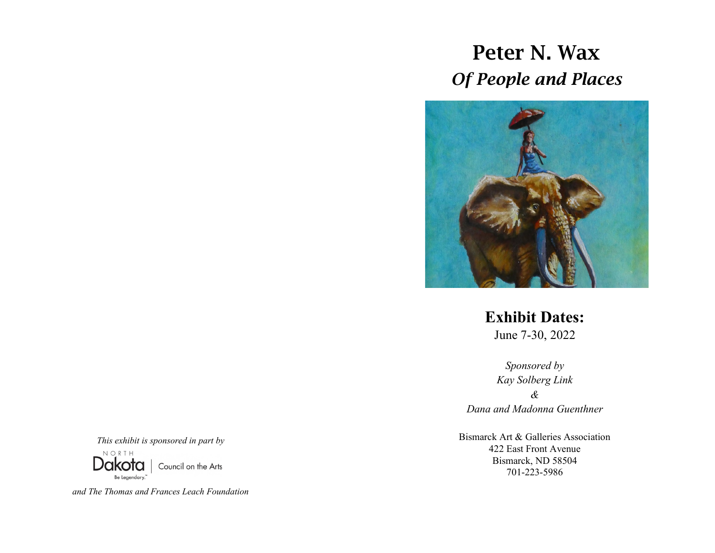## Peter N. Wax *Of People and Places*



**Exhibit Dates:**  June 7-30, 2022

*Sponsored by Kay Solberg Link & Dana and Madonna Guenthner*

Bismarck Art & Galleries Association 422 East Front Avenue Bismarck, ND 58504 701-223-5986

*This exhibit is sponsored in part by*  Dakota Council on the Arts

*and The Thomas and Frances Leach Foundation*